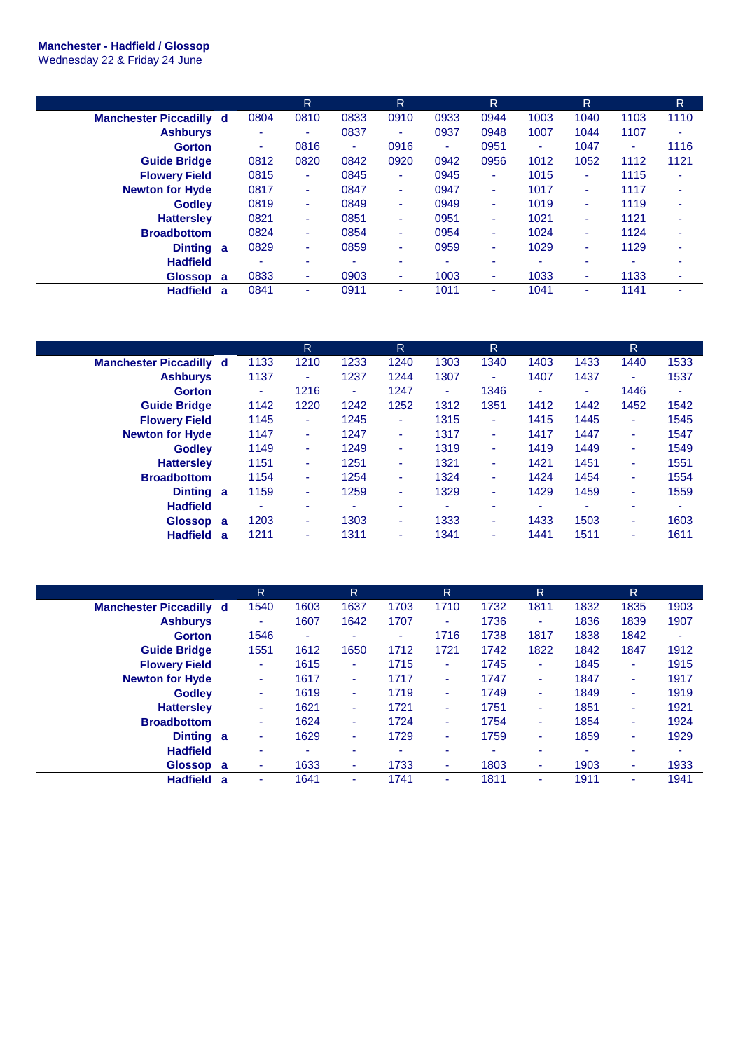## **Manchester - Hadfield / Glossop**

Wednesday 22 & Friday 24 June

|                                |              |      | R                        |      | R.                       |      | R.   |                          | R.   |      | R    |
|--------------------------------|--------------|------|--------------------------|------|--------------------------|------|------|--------------------------|------|------|------|
| <b>Manchester Piccadilly d</b> |              | 0804 | 0810                     | 0833 | 0910                     | 0933 | 0944 | 1003                     | 1040 | 1103 | 1110 |
| <b>Ashburys</b>                |              | ۰    | ٠                        | 0837 | $\overline{\phantom{a}}$ | 0937 | 0948 | 1007                     | 1044 | 1107 | ۰    |
| <b>Gorton</b>                  |              | ٠    | 0816                     | ÷    | 0916                     | ٠    | 0951 | ٠                        | 1047 | ٠    | 1116 |
| <b>Guide Bridge</b>            |              | 0812 | 0820                     | 0842 | 0920                     | 0942 | 0956 | 1012                     | 1052 | 1112 | 1121 |
| <b>Flowery Field</b>           |              | 0815 | ÷                        | 0845 | ٠                        | 0945 | ٠    | 1015                     | ٠    | 1115 | ۰    |
| <b>Newton for Hyde</b>         |              | 0817 | $\sim$                   | 0847 | ٠                        | 0947 | ٠    | 1017                     | ۰.   | 1117 | ۰    |
| <b>Godley</b>                  |              | 0819 | ٠                        | 0849 | ٠                        | 0949 | ٠    | 1019                     | ۰.   | 1119 | ۰    |
| <b>Hattersley</b>              |              | 0821 | ÷                        | 0851 | ٠                        | 0951 | ٠    | 1021                     | ٠    | 1121 | ۰    |
| <b>Broadbottom</b>             |              | 0824 | ٠                        | 0854 | ٠                        | 0954 | ٠    | 1024                     | ۰.   | 1124 | ۰    |
| <b>Dinting</b>                 | $\mathbf{a}$ | 0829 | ٠                        | 0859 | ٠                        | 0959 | ٠    | 1029                     | ۰.   | 1129 | ۰    |
| <b>Hadfield</b>                |              | ٠    | $\overline{\phantom{a}}$ |      | $\overline{\phantom{a}}$ | ۰    | ٠    | $\overline{\phantom{a}}$ |      |      |      |
| <b>Glossop</b>                 | a            | 0833 | ۰                        | 0903 | ٠                        | 1003 | ٠    | 1033                     |      | 1133 | ۰    |
| <b>Hadfield</b>                | a            | 0841 | ۰                        | 0911 | ۰                        | 1011 | ۰    | 1041                     | ۰    | 1141 |      |

|                                |   |      | R      |      | R    |      | R    |      |      | R    |      |
|--------------------------------|---|------|--------|------|------|------|------|------|------|------|------|
| <b>Manchester Piccadilly d</b> |   | 1133 | 1210   | 1233 | 1240 | 1303 | 1340 | 1403 | 1433 | 1440 | 1533 |
| <b>Ashburys</b>                |   | 1137 | ٠      | 1237 | 1244 | 1307 | ۰    | 1407 | 1437 | ٠    | 1537 |
| <b>Gorton</b>                  |   | ۰    | 1216   | ٠    | 1247 | ۰.   | 1346 | ٠    | ٠    | 1446 | ٠    |
| <b>Guide Bridge</b>            |   | 1142 | 1220   | 1242 | 1252 | 1312 | 1351 | 1412 | 1442 | 1452 | 1542 |
| <b>Flowery Field</b>           |   | 1145 | ٠      | 1245 | ٠    | 1315 | ٠    | 1415 | 1445 | ٠    | 1545 |
| <b>Newton for Hyde</b>         |   | 1147 | ٠      | 1247 | ٠    | 1317 | ٠    | 1417 | 1447 | ٠    | 1547 |
| <b>Godley</b>                  |   | 1149 | ÷      | 1249 | ٠    | 1319 | ٠    | 1419 | 1449 | ٠    | 1549 |
| <b>Hattersley</b>              |   | 1151 | ٠      | 1251 | ٠    | 1321 | ٠    | 1421 | 1451 | ٠    | 1551 |
| <b>Broadbottom</b>             |   | 1154 | $\sim$ | 1254 | ٠    | 1324 | ٠    | 1424 | 1454 | ٠    | 1554 |
| Dinting a                      |   | 1159 | ٠      | 1259 | ٠    | 1329 | ٠    | 1429 | 1459 | ٠    | 1559 |
| <b>Hadfield</b>                |   | ۰    | ٠      | ۰    | ۰    |      | ۰    | ۰    | ٠    | ۰    |      |
| Glossop a                      |   | 1203 | ٠      | 1303 | ٠    | 1333 | ۰    | 1433 | 1503 | ٠    | 1603 |
| <b>Hadfield</b>                | a | 1211 | ٠      | 1311 | ۰    | 1341 | ۰    | 1441 | 1511 | ۰    | 1611 |

|                                | $\mathsf{R}$ |      | $\mathsf{R}$ |      | R    |      | $\mathsf{R}$ |      | R    |      |
|--------------------------------|--------------|------|--------------|------|------|------|--------------|------|------|------|
| <b>Manchester Piccadilly d</b> | 1540         | 1603 | 1637         | 1703 | 1710 | 1732 | 1811         | 1832 | 1835 | 1903 |
| <b>Ashburys</b>                | ٠            | 1607 | 1642         | 1707 | ٠    | 1736 | ٠            | 1836 | 1839 | 1907 |
| <b>Gorton</b>                  | 1546         | ۰    | ۰            | ٠    | 1716 | 1738 | 1817         | 1838 | 1842 | ٠    |
| <b>Guide Bridge</b>            | 1551         | 1612 | 1650         | 1712 | 1721 | 1742 | 1822         | 1842 | 1847 | 1912 |
| <b>Flowery Field</b>           | ٠            | 1615 | ۰.           | 1715 | ٠    | 1745 | ٠            | 1845 | ٠    | 1915 |
| <b>Newton for Hyde</b>         | ٠            | 1617 | ٠            | 1717 | ٠    | 1747 | ٠            | 1847 | ٠    | 1917 |
| <b>Godley</b>                  | ٠            | 1619 | ٠            | 1719 | ٠    | 1749 | ٠            | 1849 | ٠    | 1919 |
| <b>Hattersley</b>              | ۰.           | 1621 | ٠            | 1721 | ۰.   | 1751 | ۰            | 1851 | ٠    | 1921 |
| <b>Broadbottom</b>             | ٠            | 1624 | ٠            | 1724 | ٠    | 1754 | ٠            | 1854 | ۰    | 1924 |
| <b>Dinting</b>                 | a<br>٠       | 1629 | ۰            | 1729 | ٠    | 1759 | ۰            | 1859 | ٠    | 1929 |
| <b>Hadfield</b>                | ٠            | ۰    | ۰            | ۰    | ۰    | ٠    | -            |      | ۰    | ۰    |
| Glossop a                      | ٠            | 1633 | ۰            | 1733 | ٠    | 1803 | ۰            | 1903 | ۰    | 1933 |
| <b>Hadfield</b>                | a<br>٠       | 1641 | ۰.           | 1741 | ۰    | 1811 | ۰            | 1911 | ۰    | 1941 |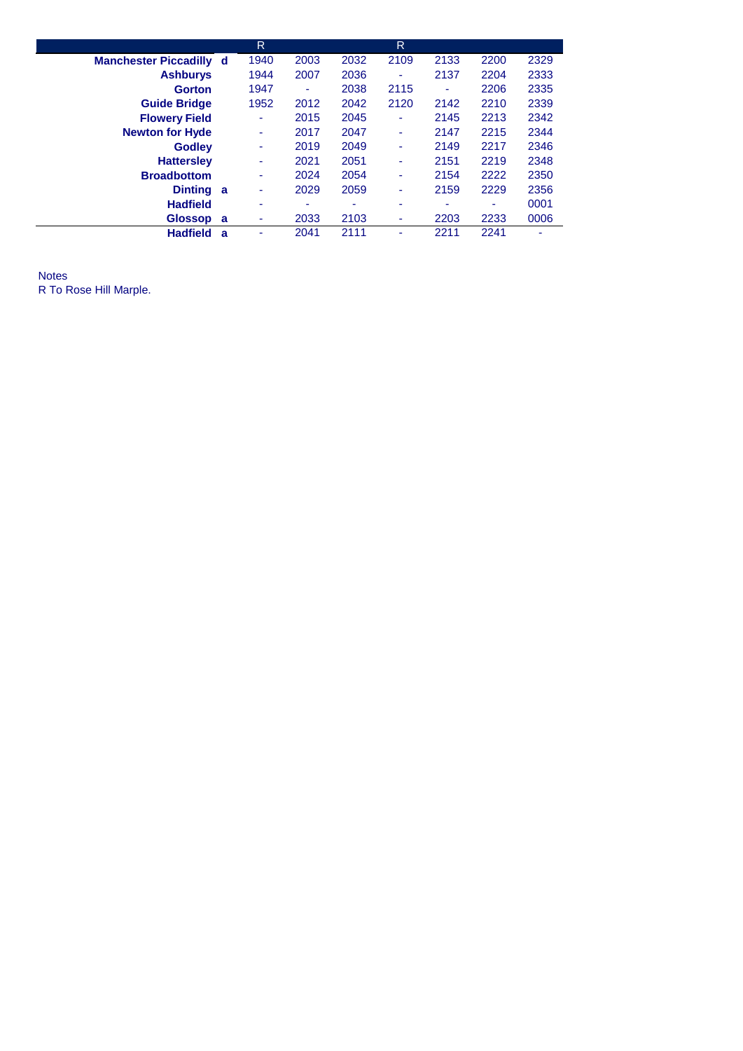|                                | R    |      |      | R    |      |      |      |
|--------------------------------|------|------|------|------|------|------|------|
| <b>Manchester Piccadilly d</b> | 1940 | 2003 | 2032 | 2109 | 2133 | 2200 | 2329 |
| <b>Ashburys</b>                | 1944 | 2007 | 2036 | ۰    | 2137 | 2204 | 2333 |
| <b>Gorton</b>                  | 1947 | ٠    | 2038 | 2115 | ٠    | 2206 | 2335 |
| <b>Guide Bridge</b>            | 1952 | 2012 | 2042 | 2120 | 2142 | 2210 | 2339 |
| <b>Flowery Field</b>           | ٠    | 2015 | 2045 | ۰    | 2145 | 2213 | 2342 |
| <b>Newton for Hyde</b>         | ٠    | 2017 | 2047 | ۰    | 2147 | 2215 | 2344 |
| <b>Godlev</b>                  | ٠    | 2019 | 2049 | ۰    | 2149 | 2217 | 2346 |
| <b>Hattersley</b>              | ۰    | 2021 | 2051 | ۰    | 2151 | 2219 | 2348 |
| <b>Broadbottom</b>             | ٠    | 2024 | 2054 | ۰    | 2154 | 2222 | 2350 |
| Dinting a                      | ۰    | 2029 | 2059 | ۰    | 2159 | 2229 | 2356 |
| <b>Hadfield</b>                | ۰    | ۰    | ٠    | ۰    | ۰    |      | 0001 |
| Glossop a                      | ۰    | 2033 | 2103 | ۰    | 2203 | 2233 | 0006 |
| <b>Hadfield</b><br>a           |      | 2041 | 2111 |      | 2211 | 2241 |      |

Notes R To Rose Hill Marple.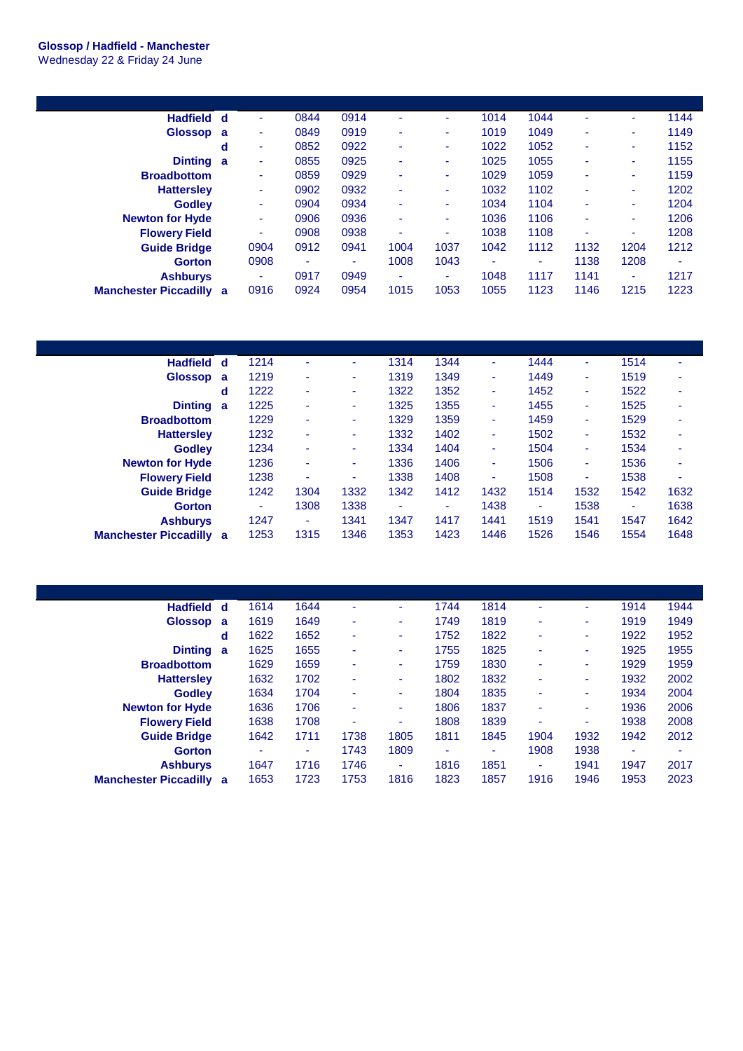## **Glossop / Hadfield - Manchester**

Wednesday 22 & Friday 24 June

| <b>Hadfield</b>                | d | ۰    | 0844 | 0914 | $\blacksquare$ | ۰    | 1014 | 1044 | ۰    | ٠    | 1144 |
|--------------------------------|---|------|------|------|----------------|------|------|------|------|------|------|
| <b>Glossop</b>                 | a | ٠    | 0849 | 0919 | $\blacksquare$ | ۰    | 1019 | 1049 |      | ۰    | 1149 |
|                                | d | ٠    | 0852 | 0922 | ٠              | ۰    | 1022 | 1052 |      | ٠    | 1152 |
| <b>Dinting</b>                 | a | ۰    | 0855 | 0925 | ٠              | ۰    | 1025 | 1055 | ٠    | ٠    | 1155 |
| <b>Broadbottom</b>             |   |      | 0859 | 0929 | ٠              | ۰    | 1029 | 1059 | ۰    | ۰    | 1159 |
| <b>Hattersley</b>              |   | ۰    | 0902 | 0932 | ٠              | ۰.   | 1032 | 1102 | ۰    | ۰.   | 1202 |
| <b>Godley</b>                  |   | ۰.   | 0904 | 0934 | ٠              | ۰    | 1034 | 1104 | ٠    | ٠    | 1204 |
| <b>Newton for Hyde</b>         |   | ۰    | 0906 | 0936 | ٠              | ٠    | 1036 | 1106 |      | ۰    | 1206 |
| <b>Flowery Field</b>           |   | ۰.   | 0908 | 0938 | ٠              | ٠    | 1038 | 1108 |      | ٠    | 1208 |
| <b>Guide Bridge</b>            |   | 0904 | 0912 | 0941 | 1004           | 1037 | 1042 | 1112 | 1132 | 1204 | 1212 |
| <b>Gorton</b>                  |   | 0908 | ٠    | ۰    | 1008           | 1043 | ٠    | -    | 1138 | 1208 | ۰    |
| <b>Ashburys</b>                |   | ٠    | 0917 | 0949 | ٠              | ۰    | 1048 | 1117 | 1141 | ٠    | 1217 |
| <b>Manchester Piccadilly a</b> |   | 0916 | 0924 | 0954 | 1015           | 1053 | 1055 | 1123 | 1146 | 1215 | 1223 |

| <b>Hadfield</b>              | d | 1214 | ٠    | ÷    | 1314 | 1344 | ٠    | 1444 | ٠    | 1514 | ٠    |
|------------------------------|---|------|------|------|------|------|------|------|------|------|------|
| <b>Glossop</b>               | a | 1219 | ٠    | ÷    | 1319 | 1349 | ٠    | 1449 | ٠    | 1519 | ۰    |
|                              | d | 1222 | ٠    | ۰    | 1322 | 1352 | ٠    | 1452 | ٠    | 1522 | ۰    |
| <b>Dinting</b>               | a | 1225 | ٠    | ۰.   | 1325 | 1355 | ٠    | 1455 | ۰    | 1525 | ۰    |
| <b>Broadbottom</b>           |   | 1229 | ٠    | ۰.   | 1329 | 1359 | ٠    | 1459 | ۰    | 1529 | ٠    |
| <b>Hattersley</b>            |   | 1232 | ٠    | ٠    | 1332 | 1402 | ۰    | 1502 | ۰    | 1532 | ۰    |
| <b>Godley</b>                |   | 1234 | ٠    | ۰.   | 1334 | 1404 | ۰    | 1504 | ۰    | 1534 | ۰    |
| <b>Newton for Hyde</b>       |   | 1236 | ٠    | ۰.   | 1336 | 1406 | ٠    | 1506 | ٠    | 1536 | ٠    |
| <b>Flowery Field</b>         |   | 1238 | ٠    | ٠    | 1338 | 1408 | ٠    | 1508 | ۰    | 1538 | ۰    |
| <b>Guide Bridge</b>          |   | 1242 | 1304 | 1332 | 1342 | 1412 | 1432 | 1514 | 1532 | 1542 | 1632 |
| <b>Gorton</b>                |   | ٠    | 1308 | 1338 |      | ۰    | 1438 | ٠    | 1538 | ٠    | 1638 |
| <b>Ashburys</b>              |   | 1247 | ۰    | 1341 | 1347 | 1417 | 1441 | 1519 | 1541 | 1547 | 1642 |
| <b>Manchester Piccadilly</b> | a | 1253 | 1315 | 1346 | 1353 | 1423 | 1446 | 1526 | 1546 | 1554 | 1648 |

| Hadfield d                     |   | 1614 | 1644                     | ٠    | ٠      | 1744 | 1814 | ٠    | ۰    | 1914                     | 1944 |
|--------------------------------|---|------|--------------------------|------|--------|------|------|------|------|--------------------------|------|
| Glossop a                      |   | 1619 | 1649                     | ٠    | ٠      | 1749 | 1819 | ٠    | ۰    | 1919                     | 1949 |
|                                | d | 1622 | 1652                     | ۰    | ٠      | 1752 | 1822 | ۰    | ٠    | 1922                     | 1952 |
| <b>Dinting</b>                 | a | 1625 | 1655                     | ۰    | ٠      | 1755 | 1825 | ۰    | ٠    | 1925                     | 1955 |
| <b>Broadbottom</b>             |   | 1629 | 1659                     | ۰    | ٠      | 1759 | 1830 | ٠    | ٠    | 1929                     | 1959 |
| <b>Hattersley</b>              |   | 1632 | 1702                     | ٠    | $\sim$ | 1802 | 1832 | ٠    | ۰    | 1932                     | 2002 |
| <b>Godley</b>                  |   | 1634 | 1704                     | ۰    | ٠      | 1804 | 1835 | ٠    | ۰    | 1934                     | 2004 |
| <b>Newton for Hyde</b>         |   | 1636 | 1706                     | ٠    | ٠      | 1806 | 1837 | ٠    | ۰    | 1936                     | 2006 |
| <b>Flowery Field</b>           |   | 1638 | 1708                     | ۰    | ٠      | 1808 | 1839 | ۰    | ۰    | 1938                     | 2008 |
| <b>Guide Bridge</b>            |   | 1642 | 1711                     | 1738 | 1805   | 1811 | 1845 | 1904 | 1932 | 1942                     | 2012 |
| <b>Gorton</b>                  |   | ٠    | $\overline{\phantom{a}}$ | 1743 | 1809   | ۰    | ۰    | 1908 | 1938 | $\overline{\phantom{a}}$ | ۰    |
| <b>Ashburys</b>                |   | 1647 | 1716                     | 1746 | ٠      | 1816 | 1851 | ۰    | 1941 | 1947                     | 2017 |
| <b>Manchester Piccadilly a</b> |   | 1653 | 1723                     | 1753 | 1816   | 1823 | 1857 | 1916 | 1946 | 1953                     | 2023 |
|                                |   |      |                          |      |        |      |      |      |      |                          |      |